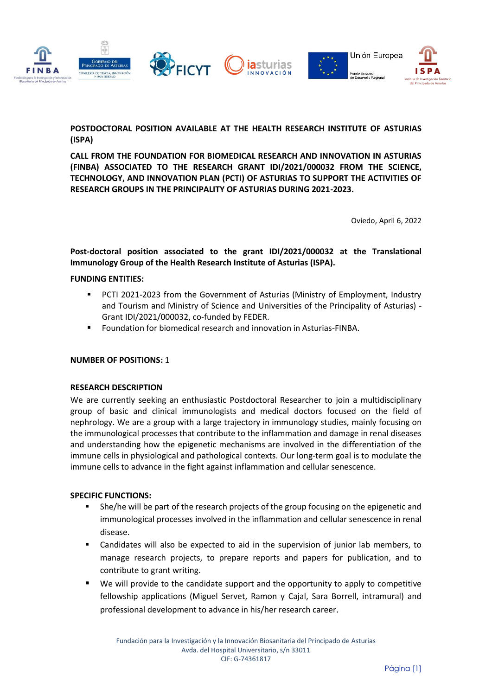

**POSTDOCTORAL POSITION AVAILABLE AT THE HEALTH RESEARCH INSTITUTE OF ASTURIAS (ISPA)**

**CALL FROM THE FOUNDATION FOR BIOMEDICAL RESEARCH AND INNOVATION IN ASTURIAS (FINBA) ASSOCIATED TO THE RESEARCH GRANT IDI/2021/000032 FROM THE SCIENCE, TECHNOLOGY, AND INNOVATION PLAN (PCTI) OF ASTURIAS TO SUPPORT THE ACTIVITIES OF RESEARCH GROUPS IN THE PRINCIPALITY OF ASTURIAS DURING 2021-2023.** 

Oviedo, April 6, 2022

**Post-doctoral position associated to the grant IDI/2021/000032 at the Translational Immunology Group of the Health Research Institute of Asturias (ISPA).** 

#### **FUNDING ENTITIES:**

- PCTI 2021-2023 from the Government of Asturias (Ministry of Employment, Industry and Tourism and Ministry of Science and Universities of the Principality of Asturias) - Grant IDI/2021/000032, co-funded by FEDER.
- Foundation for biomedical research and innovation in Asturias-FINBA.

#### **NUMBER OF POSITIONS:** 1

#### **RESEARCH DESCRIPTION**

We are currently seeking an enthusiastic Postdoctoral Researcher to join a multidisciplinary group of basic and clinical immunologists and medical doctors focused on the field of nephrology. We are a group with a large trajectory in immunology studies, mainly focusing on the immunological processes that contribute to the inflammation and damage in renal diseases and understanding how the epigenetic mechanisms are involved in the differentiation of the immune cells in physiological and pathological contexts. Our long-term goal is to modulate the immune cells to advance in the fight against inflammation and cellular senescence.

# **SPECIFIC FUNCTIONS:**

- She/he will be part of the research projects of the group focusing on the epigenetic and immunological processes involved in the inflammation and cellular senescence in renal disease.
- Candidates will also be expected to aid in the supervision of junior lab members, to manage research projects, to prepare reports and papers for publication, and to contribute to grant writing.
- We will provide to the candidate support and the opportunity to apply to competitive fellowship applications (Miguel Servet, Ramon y Cajal, Sara Borrell, intramural) and professional development to advance in his/her research career.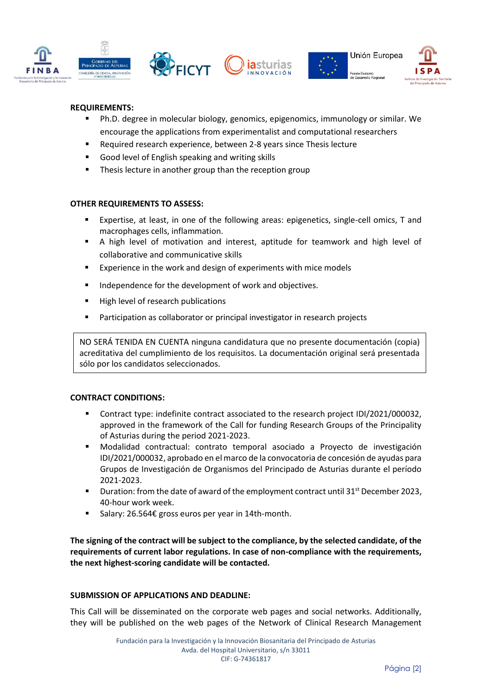





# **REQUIREMENTS:**

- Ph.D. degree in molecular biology, genomics, epigenomics, immunology or similar. We encourage the applications from experimentalist and computational researchers
- Required research experience, between 2-8 years since Thesis lecture
- Good level of English speaking and writing skills
- Thesis lecture in another group than the reception group

#### **OTHER REQUIREMENTS TO ASSESS:**

- Expertise, at least, in one of the following areas: epigenetics, single-cell omics, T and macrophages cells, inflammation.
- A high level of motivation and interest, aptitude for teamwork and high level of collaborative and communicative skills
- Experience in the work and design of experiments with mice models
- Independence for the development of work and objectives.
- High level of research publications
- Participation as collaborator or principal investigator in research projects

NO SERÁ TENIDA EN CUENTA ninguna candidatura que no presente documentación (copia) acreditativa del cumplimiento de los requisitos. La documentación original será presentada sólo por los candidatos seleccionados.

# **CONTRACT CONDITIONS:**

- Contract type: indefinite contract associated to the research project IDI/2021/000032, approved in the framework of the Call for funding Research Groups of the Principality of Asturias during the period 2021-2023.
- Modalidad contractual: contrato temporal asociado a Proyecto de investigación IDI/2021/000032, aprobado en el marco de la convocatoria de concesión de ayudas para Grupos de Investigación de Organismos del Principado de Asturias durante el período 2021-2023.
- Duration: from the date of award of the employment contract until 31<sup>st</sup> December 2023, 40-hour work week.
- Salary: 26.564€ gross euros per year in 14th-month.

**The signing of the contract will be subject to the compliance, by the selected candidate, of the requirements of current labor regulations. In case of non-compliance with the requirements, the next highest-scoring candidate will be contacted.**

# **SUBMISSION OF APPLICATIONS AND DEADLINE:**

This Call will be disseminated on the corporate web pages and social networks. Additionally, they will be published on the web pages of the Network of Clinical Research Management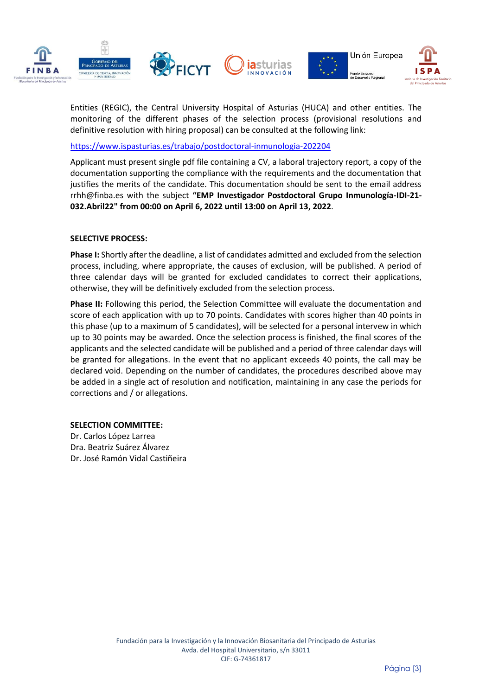

Entities (REGIC), the Central University Hospital of Asturias (HUCA) and other entities. The monitoring of the different phases of the selection process (provisional resolutions and definitive resolution with hiring proposal) can be consulted at the following link:

<https://www.ispasturias.es/trabajo/postdoctoral-inmunologia-202204>

Applicant must present single pdf file containing a CV, a laboral trajectory report, a copy of the documentation supporting the compliance with the requirements and the documentation that justifies the merits of the candidate. This documentation should be sent to the email address rrhh@finba.es with the subject **"EMP Investigador Postdoctoral Grupo Inmunología-IDI-21- 032.Abril22" from 00:00 on April 6, 2022 until 13:00 on April 13, 2022**.

#### **SELECTIVE PROCESS:**

**Phase I:** Shortly after the deadline, a list of candidates admitted and excluded from the selection process, including, where appropriate, the causes of exclusion, will be published. A period of three calendar days will be granted for excluded candidates to correct their applications, otherwise, they will be definitively excluded from the selection process.

**Phase II:** Following this period, the Selection Committee will evaluate the documentation and score of each application with up to 70 points. Candidates with scores higher than 40 points in this phase (up to a maximum of 5 candidates), will be selected for a personal intervew in which up to 30 points may be awarded. Once the selection process is finished, the final scores of the applicants and the selected candidate will be published and a period of three calendar days will be granted for allegations. In the event that no applicant exceeds 40 points, the call may be declared void. Depending on the number of candidates, the procedures described above may be added in a single act of resolution and notification, maintaining in any case the periods for corrections and / or allegations.

# **SELECTION COMMITTEE:**

Dr. Carlos López Larrea Dra. Beatriz Suárez Álvarez Dr. José Ramón Vidal Castiñeira